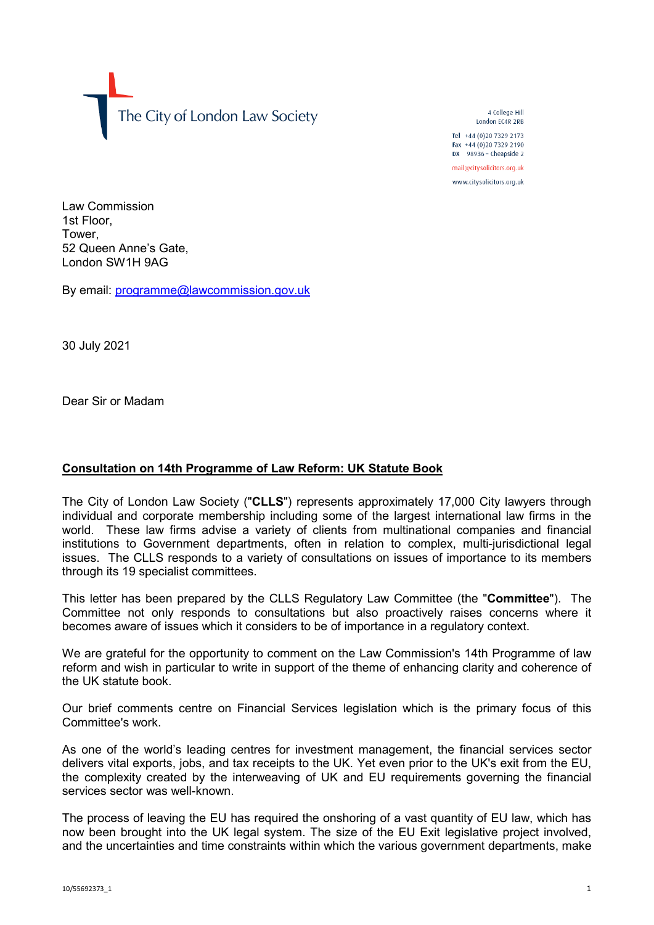The City of London Law Society

4 College Hill London FC4R 2RB

Tel +44 (0)20 7329 2173 Fax +44 (0)20 7329 2190 DX  $98936$  - Cheapside 2 mail@citysolicitors.org.uk

www.citysolicitors.org.uk

Law Commission 1st Floor, Tower, 52 Queen Anne's Gate, London SW1H 9AG

By email: [programme@lawcommission.gov.uk](mailto:programme@lawcommission.gov.uk)

30 July 2021

Dear Sir or Madam

## **Consultation on 14th Programme of Law Reform: UK Statute Book**

The City of London Law Society ("**CLLS**") represents approximately 17,000 City lawyers through individual and corporate membership including some of the largest international law firms in the world. These law firms advise a variety of clients from multinational companies and financial institutions to Government departments, often in relation to complex, multi-jurisdictional legal issues. The CLLS responds to a variety of consultations on issues of importance to its members through its 19 specialist committees.

This letter has been prepared by the CLLS Regulatory Law Committee (the "**Committee**"). The Committee not only responds to consultations but also proactively raises concerns where it becomes aware of issues which it considers to be of importance in a regulatory context.

We are grateful for the opportunity to comment on the Law Commission's 14th Programme of law reform and wish in particular to write in support of the theme of enhancing clarity and coherence of the UK statute book.

Our brief comments centre on Financial Services legislation which is the primary focus of this Committee's work.

As one of the world's leading centres for investment management, the financial services sector delivers vital exports, jobs, and tax receipts to the UK. Yet even prior to the UK's exit from the EU, the complexity created by the interweaving of UK and EU requirements governing the financial services sector was well-known.

The process of leaving the EU has required the onshoring of a vast quantity of EU law, which has now been brought into the UK legal system. The size of the EU Exit legislative project involved, and the uncertainties and time constraints within which the various government departments, make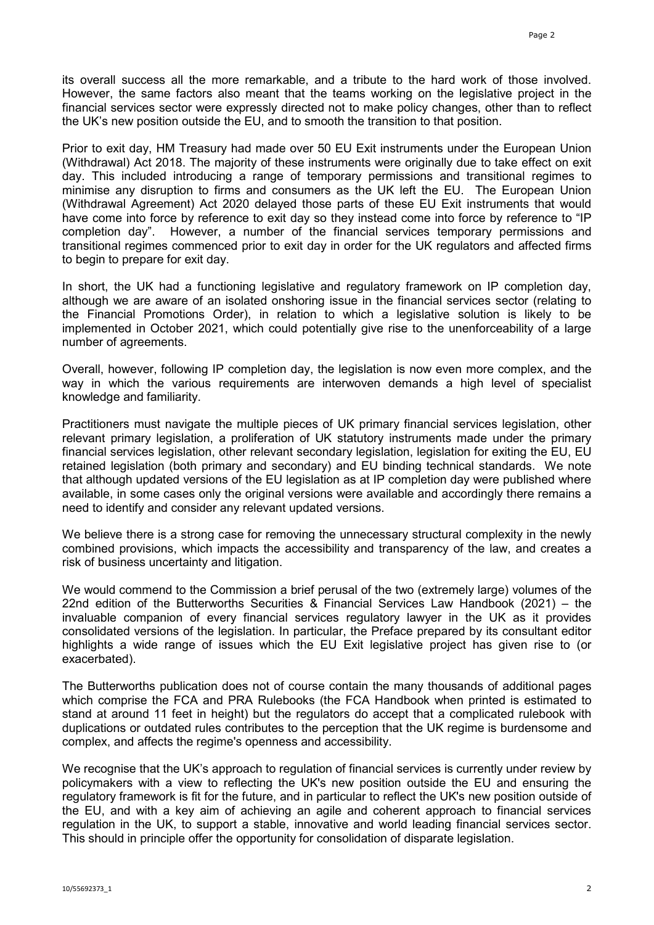its overall success all the more remarkable, and a tribute to the hard work of those involved. However, the same factors also meant that the teams working on the legislative project in the financial services sector were expressly directed not to make policy changes, other than to reflect the UK's new position outside the EU, and to smooth the transition to that position.

Prior to exit day, HM Treasury had made over 50 EU Exit instruments under the European Union (Withdrawal) Act 2018. The majority of these instruments were originally due to take effect on exit day. This included introducing a range of temporary permissions and transitional regimes to minimise any disruption to firms and consumers as the UK left the EU. The European Union (Withdrawal Agreement) Act 2020 delayed those parts of these EU Exit instruments that would have come into force by reference to exit day so they instead come into force by reference to "IP completion day". However, a number of the financial services temporary permissions and transitional regimes commenced prior to exit day in order for the UK regulators and affected firms to begin to prepare for exit day.

In short, the UK had a functioning legislative and regulatory framework on IP completion day, although we are aware of an isolated onshoring issue in the financial services sector (relating to the Financial Promotions Order), in relation to which a legislative solution is likely to be implemented in October 2021, which could potentially give rise to the unenforceability of a large number of agreements.

Overall, however, following IP completion day, the legislation is now even more complex, and the way in which the various requirements are interwoven demands a high level of specialist knowledge and familiarity.

Practitioners must navigate the multiple pieces of UK primary financial services legislation, other relevant primary legislation, a proliferation of UK statutory instruments made under the primary financial services legislation, other relevant secondary legislation, legislation for exiting the EU, EU retained legislation (both primary and secondary) and EU binding technical standards. We note that although updated versions of the EU legislation as at IP completion day were published where available, in some cases only the original versions were available and accordingly there remains a need to identify and consider any relevant updated versions.

We believe there is a strong case for removing the unnecessary structural complexity in the newly combined provisions, which impacts the accessibility and transparency of the law, and creates a risk of business uncertainty and litigation.

We would commend to the Commission a brief perusal of the two (extremely large) volumes of the 22nd edition of the Butterworths Securities & Financial Services Law Handbook (2021) – the invaluable companion of every financial services regulatory lawyer in the UK as it provides consolidated versions of the legislation. In particular, the Preface prepared by its consultant editor highlights a wide range of issues which the EU Exit legislative project has given rise to (or exacerbated).

The Butterworths publication does not of course contain the many thousands of additional pages which comprise the FCA and PRA Rulebooks (the FCA Handbook when printed is estimated to stand at around 11 feet in height) but the regulators do accept that a complicated rulebook with duplications or outdated rules contributes to the perception that the UK regime is burdensome and complex, and affects the regime's openness and accessibility.

We recognise that the UK's approach to regulation of financial services is currently under review by policymakers with a view to reflecting the UK's new position outside the EU and ensuring the regulatory framework is fit for the future, and in particular to reflect the UK's new position outside of the EU, and with a key aim of achieving an agile and coherent approach to financial services regulation in the UK, to support a stable, innovative and world leading financial services sector. This should in principle offer the opportunity for consolidation of disparate legislation.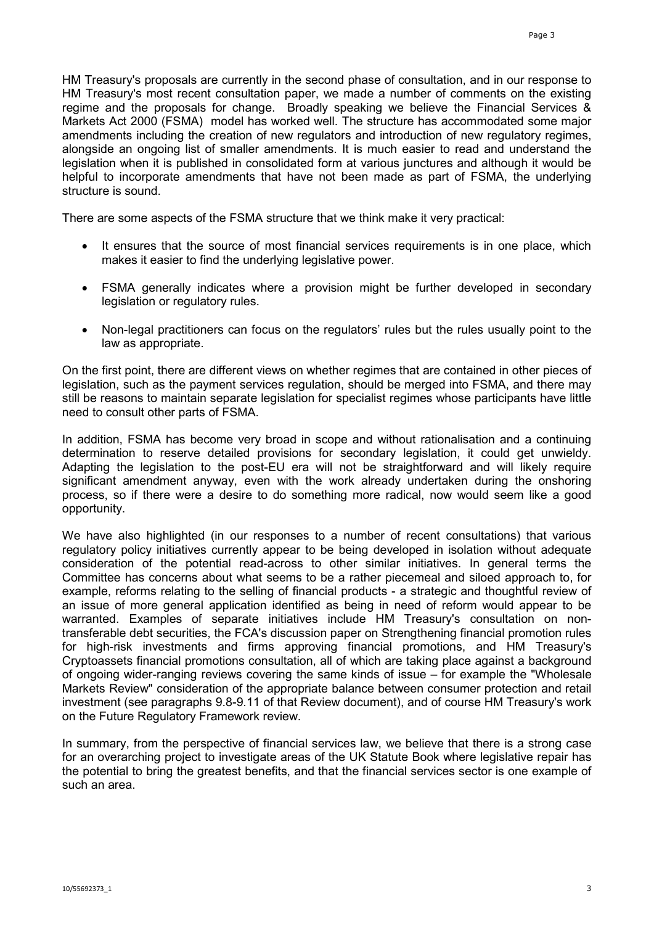HM Treasury's proposals are currently in the second phase of consultation, and in our response to HM Treasury's most recent consultation paper, we made a number of comments on the existing regime and the proposals for change. Broadly speaking we believe the Financial Services & Markets Act 2000 (FSMA) model has worked well. The structure has accommodated some major amendments including the creation of new regulators and introduction of new regulatory regimes, alongside an ongoing list of smaller amendments. It is much easier to read and understand the legislation when it is published in consolidated form at various junctures and although it would be helpful to incorporate amendments that have not been made as part of FSMA, the underlying structure is sound.

There are some aspects of the FSMA structure that we think make it very practical:

- It ensures that the source of most financial services requirements is in one place, which makes it easier to find the underlying legislative power.
- FSMA generally indicates where a provision might be further developed in secondary legislation or regulatory rules.
- Non-legal practitioners can focus on the regulators' rules but the rules usually point to the law as appropriate.

On the first point, there are different views on whether regimes that are contained in other pieces of legislation, such as the payment services regulation, should be merged into FSMA, and there may still be reasons to maintain separate legislation for specialist regimes whose participants have little need to consult other parts of FSMA.

In addition, FSMA has become very broad in scope and without rationalisation and a continuing determination to reserve detailed provisions for secondary legislation, it could get unwieldy. Adapting the legislation to the post-EU era will not be straightforward and will likely require significant amendment anyway, even with the work already undertaken during the onshoring process, so if there were a desire to do something more radical, now would seem like a good opportunity.

We have also highlighted (in our responses to a number of recent consultations) that various regulatory policy initiatives currently appear to be being developed in isolation without adequate consideration of the potential read-across to other similar initiatives. In general terms the Committee has concerns about what seems to be a rather piecemeal and siloed approach to, for example, reforms relating to the selling of financial products - a strategic and thoughtful review of an issue of more general application identified as being in need of reform would appear to be warranted. Examples of separate initiatives include HM Treasury's consultation on nontransferable debt securities, the FCA's discussion paper on Strengthening financial promotion rules for high-risk investments and firms approving financial promotions, and HM Treasury's Cryptoassets financial promotions consultation, all of which are taking place against a background of ongoing wider-ranging reviews covering the same kinds of issue – for example the "Wholesale Markets Review" consideration of the appropriate balance between consumer protection and retail investment (see paragraphs 9.8-9.11 of that Review document), and of course HM Treasury's work on the Future Regulatory Framework review.

In summary, from the perspective of financial services law, we believe that there is a strong case for an overarching project to investigate areas of the UK Statute Book where legislative repair has the potential to bring the greatest benefits, and that the financial services sector is one example of such an area.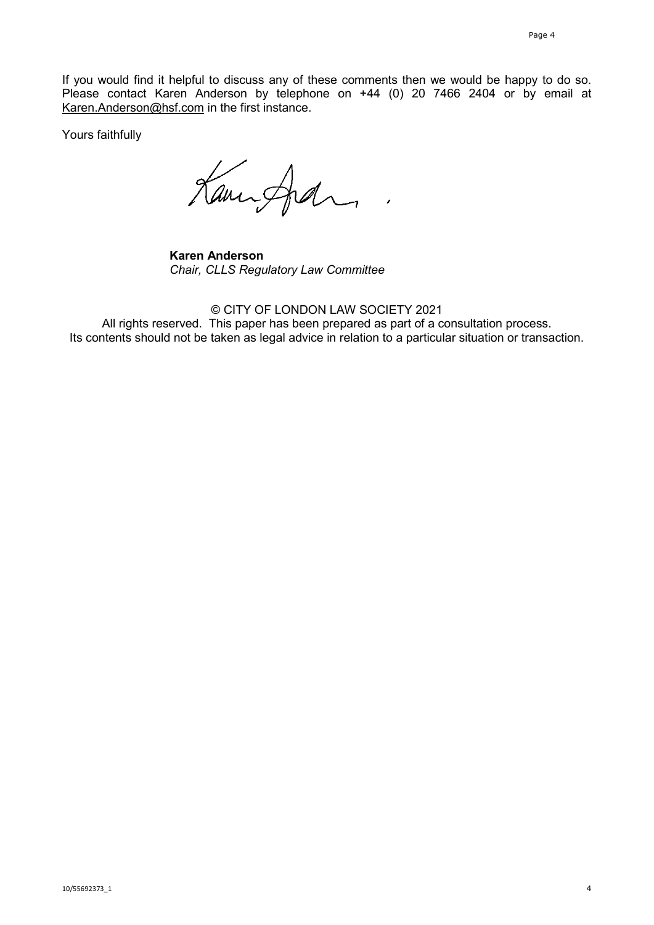If you would find it helpful to discuss any of these comments then we would be happy to do so. Please contact Karen Anderson by telephone on +44 (0) 20 7466 2404 or by email at [Karen.Anderson@hsf.com](mailto:Karen.Anderson@hsf.com) in the first instance.

Yours faithfully

Kannford

**Karen Anderson** *Chair, CLLS Regulatory Law Committee*

© CITY OF LONDON LAW SOCIETY 2021 All rights reserved. This paper has been prepared as part of a consultation process. Its contents should not be taken as legal advice in relation to a particular situation or transaction.